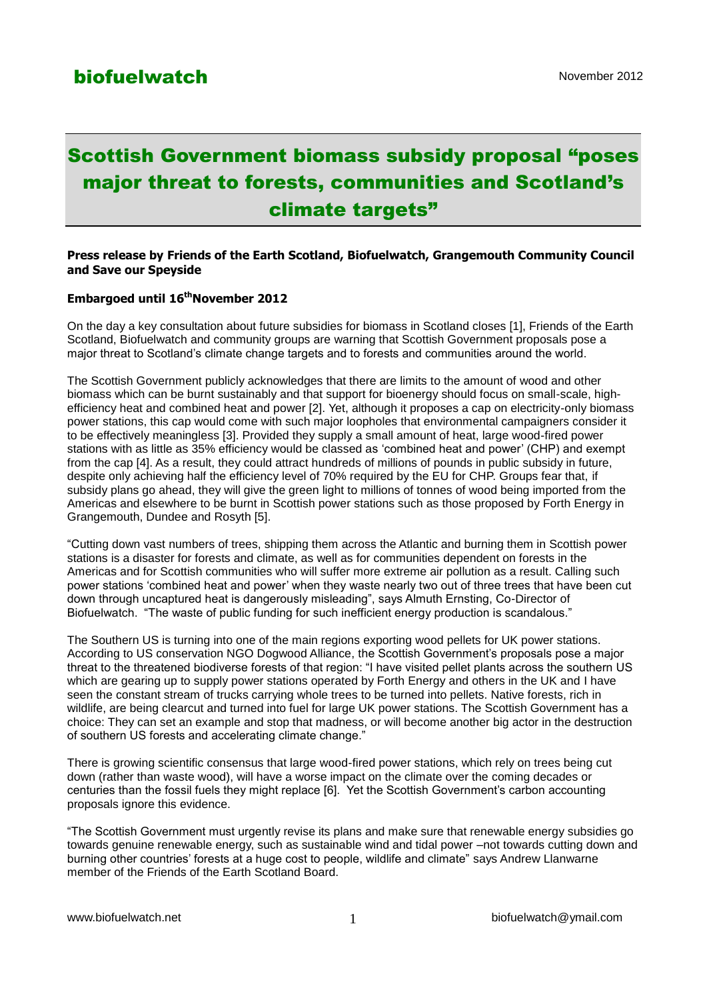# Scottish Government biomass subsidy proposal "poses major threat to forests, communities and Scotland's climate targets"

#### **Press release by Friends of the Earth Scotland, Biofuelwatch, Grangemouth Community Council and Save our Speyside**

### **Embargoed until 16thNovember 2012**

On the day a key consultation about future subsidies for biomass in Scotland closes [1], Friends of the Earth Scotland, Biofuelwatch and community groups are warning that Scottish Government proposals pose a major threat to Scotland"s climate change targets and to forests and communities around the world.

The Scottish Government publicly acknowledges that there are limits to the amount of wood and other biomass which can be burnt sustainably and that support for bioenergy should focus on small-scale, highefficiency heat and combined heat and power [2]. Yet, although it proposes a cap on electricity-only biomass power stations, this cap would come with such major loopholes that environmental campaigners consider it to be effectively meaningless [3]. Provided they supply a small amount of heat, large wood-fired power stations with as little as 35% efficiency would be classed as "combined heat and power" (CHP) and exempt from the cap [4]. As a result, they could attract hundreds of millions of pounds in public subsidy in future, despite only achieving half the efficiency level of 70% required by the EU for CHP. Groups fear that, if subsidy plans go ahead, they will give the green light to millions of tonnes of wood being imported from the Americas and elsewhere to be burnt in Scottish power stations such as those proposed by Forth Energy in Grangemouth, Dundee and Rosyth [5].

"Cutting down vast numbers of trees, shipping them across the Atlantic and burning them in Scottish power stations is a disaster for forests and climate, as well as for communities dependent on forests in the Americas and for Scottish communities who will suffer more extreme air pollution as a result. Calling such power stations "combined heat and power" when they waste nearly two out of three trees that have been cut down through uncaptured heat is dangerously misleading", says Almuth Ernsting, Co-Director of Biofuelwatch. "The waste of public funding for such inefficient energy production is scandalous."

The Southern US is turning into one of the main regions exporting wood pellets for UK power stations. According to US conservation NGO Dogwood Alliance, the Scottish Government"s proposals pose a major threat to the threatened biodiverse forests of that region: "I have visited pellet plants across the southern US which are gearing up to supply power stations operated by Forth Energy and others in the UK and I have seen the constant stream of trucks carrying whole trees to be turned into pellets. Native forests, rich in wildlife, are being clearcut and turned into fuel for large UK power stations. The Scottish Government has a choice: They can set an example and stop that madness, or will become another big actor in the destruction of southern US forests and accelerating climate change."

There is growing scientific consensus that large wood-fired power stations, which rely on trees being cut down (rather than waste wood), will have a worse impact on the climate over the coming decades or centuries than the fossil fuels they might replace [6]. Yet the Scottish Government"s carbon accounting proposals ignore this evidence.

"The Scottish Government must urgently revise its plans and make sure that renewable energy subsidies go towards genuine renewable energy, such as sustainable wind and tidal power –not towards cutting down and burning other countries" forests at a huge cost to people, wildlife and climate" says Andrew Llanwarne member of the Friends of the Earth Scotland Board.